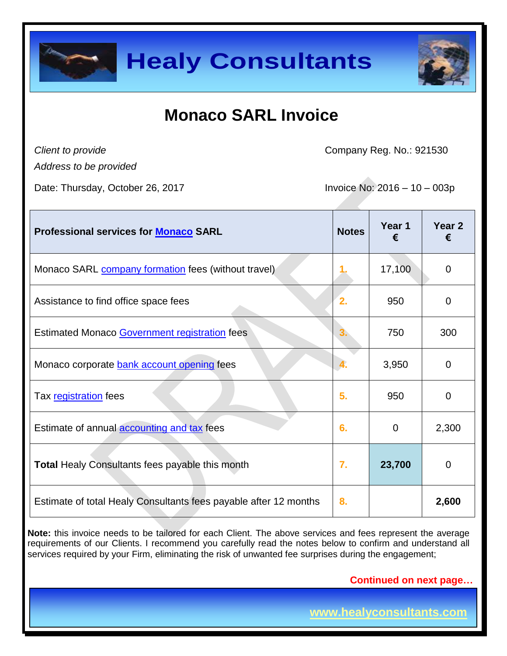



# **Monaco SARL Invoice**

*Client to provide*

Company Reg. No.: 921530

*Address to be provided*

Date: Thursday, October 26, 2017 Invoice No: 2016 – 10 – 003p

| <b>Professional services for Monaco SARL</b>                     | <b>Notes</b> | Year 1<br>€ | Year 2<br>€    |
|------------------------------------------------------------------|--------------|-------------|----------------|
| Monaco SARL company formation fees (without travel)              |              | 17,100      | $\overline{0}$ |
| Assistance to find office space fees                             | 2.           | 950         | $\overline{0}$ |
| Estimated Monaco Government registration fees                    | 3.           | 750         | 300            |
| Monaco corporate bank account opening fees                       | 4.           | 3,950       | 0              |
| Tax registration fees                                            | 5.           | 950         | 0              |
| Estimate of annual <b>accounting and tax</b> fees                | 6.           | $\mathbf 0$ | 2,300          |
| <b>Total Healy Consultants fees payable this month</b>           | 7.           | 23,700      | $\overline{0}$ |
| Estimate of total Healy Consultants fees payable after 12 months | 8.           |             | 2,600          |

**Note:** this invoice needs to be tailored for each Client. The above services and fees represent the average requirements of our Clients. I recommend you carefully read the notes below to confirm and understand all services required by your Firm, eliminating the risk of unwanted fee surprises during the engagement;

 **Continued on next page…**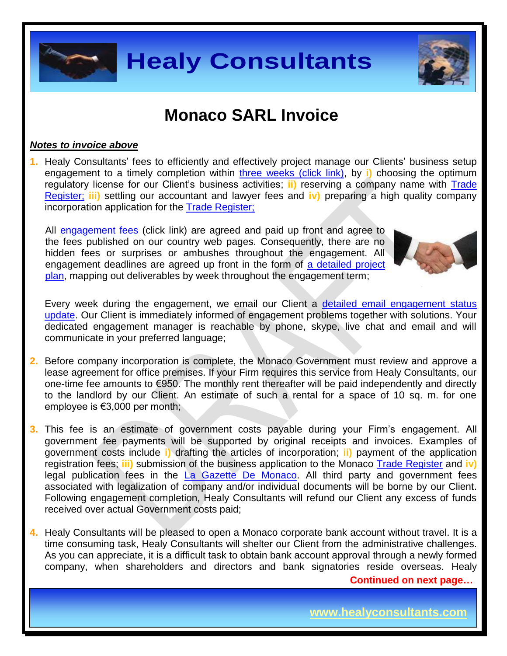

## **Monaco SARL Invoice**

#### *Notes to invoice above*

**1.** Healy Consultants' fees to efficiently and effectively project manage our Clients' business setup engagement to a timely completion within [three weeks \(click link\),](http://www.healyconsultants.com/monaco-company-registration/fees-timelines/#timelines) by i) choosing the optimum regulatory license for our Client's business activities; ii) reserving a company name with **Trade** [Register;](http://www.gouv.mc/devwww/wwwnew.nsf/c3241c4782f528bdc1256d52004f970b/4dc8c60baa566803c125709f005002cd!OpenDocument) **iii)** settling our accountant and lawyer fees and **iv)** preparing a high quality company incorporation application for the [Trade Register;](http://www.gouv.mc/devwww/wwwnew.nsf/c3241c4782f528bdc1256d52004f970b/4dc8c60baa566803c125709f005002cd!OpenDocument)

All [engagement fees](http://www.healyconsultants.com/company-registration-fees/) (click link) are agreed and paid up front and agree to the fees published on our country web pages. Consequently, there are no hidden fees or surprises or ambushes throughout the engagement. All engagement deadlines are agreed up front in the form of a detailed project [plan,](http://www.healyconsultants.com/index-important-links/example-project-plan/) mapping out deliverables by week throughout the engagement term;



Every week during the engagement, we email our Client a [detailed email engagement status](http://www.healyconsultants.com/index-important-links/weekly-engagement-status-email/)  [update.](http://www.healyconsultants.com/index-important-links/weekly-engagement-status-email/) Our Client is immediately informed of engagement problems together with solutions. Your dedicated engagement manager is reachable by phone, skype, live chat and email and will communicate in your preferred language;

- **2.** Before company incorporation is complete, the Monaco Government must review and approve a lease agreement for office premises. If your Firm requires this service from Healy Consultants, our one-time fee amounts to €950. The monthly rent thereafter will be paid independently and directly to the landlord by our Client. An estimate of such a rental for a space of 10 sq. m. for one employee is €3,000 per month;
- **3.** This fee is an estimate of government costs payable during your Firm's engagement. All government fee payments will be supported by original receipts and invoices. Examples of government costs include **i)** drafting the articles of incorporation; **ii)** payment of the application registration fees; **iii)** submission of the business application to the Monaco [Trade Register](http://www.gouv.mc/devwww/wwwnew.nsf/c3241c4782f528bdc1256d52004f970b/4dc8c60baa566803c125709f005002cd!OpenDocument) and **iv)** legal publication fees in the [La Gazette De Monaco.](https://www.google.com.sg/url?sa=t&rct=j&q=&esrc=s&source=web&cd=1&ved=0CBwQFjAA&url=http%3A%2F%2Fwww.lagazettedemonaco.com%2F&ei=HWKFVOzyINiJuASxnYLgDQ&usg=AFQjCNG3rzfB4WjnCTpsKcUJTn2_pO19Qg&bvm=bv.80642063,d.c2E&cad=rja) All third party and government fees associated with legalization of company and/or individual documents will be borne by our Client. Following engagement completion, Healy Consultants will refund our Client any excess of funds received over actual Government costs paid;
- **Continued on next page… 4.** Healy Consultants will be pleased to open a Monaco corporate bank account without travel. It is a time consuming task, Healy Consultants will shelter our Client from the administrative challenges. As you can appreciate, it is a difficult task to obtain bank account approval through a newly formed company, when shareholders and directors and bank signatories reside overseas. Healy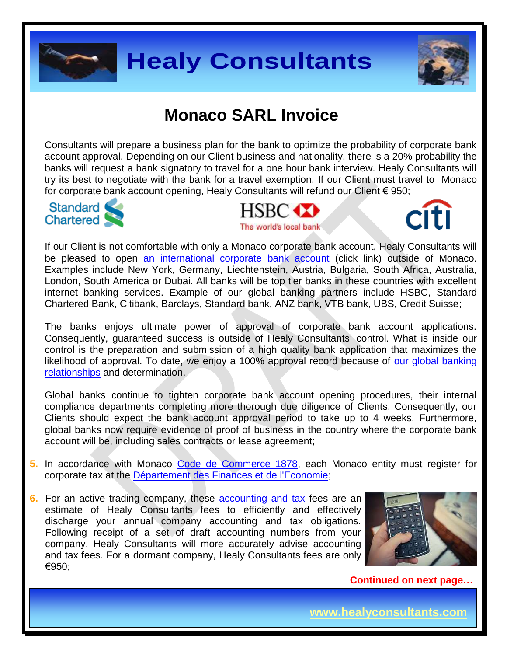



# **Monaco SARL Invoice**

Consultants will prepare a business plan for the bank to optimize the probability of corporate bank account approval. Depending on our Client business and nationality, there is a 20% probability the banks will request a bank signatory to travel for a one hour bank interview. Healy Consultants will try its best to negotiate with the bank for a travel exemption. If our Client must travel to Monaco for corporate bank account opening, Healy Consultants will refund our Client € 950;



The world's local bank



If our Client is not comfortable with only a Monaco corporate bank account, Healy Consultants will be pleased to open [an international corporate bank account](http://www.healyconsultants.com/international-banking/) (click link) outside of Monaco. Examples include New York, Germany, Liechtenstein, Austria, Bulgaria, South Africa, Australia, London, South America or Dubai. All banks will be top tier banks in these countries with excellent internet banking services. Example of our global banking partners include HSBC, Standard Chartered Bank, Citibank, Barclays, Standard bank, ANZ bank, VTB bank, UBS, Credit Suisse;

The banks enjoys ultimate power of approval of corporate bank account applications. Consequently, guaranteed success is outside of Healy Consultants' control. What is inside our control is the preparation and submission of a high quality bank application that maximizes the likelihood of approval. To date, we enjoy a 100% approval record because of our global banking [relationships](http://www.healyconsultants.com/international-banking/corporate-accounts/) and determination.

Global banks continue to tighten corporate bank account opening procedures, their internal compliance departments completing more thorough due diligence of Clients. Consequently, our Clients should expect the bank account approval period to take up to 4 weeks. Furthermore, global banks now require evidence of proof of business in the country where the corporate bank account will be, including sales contracts or lease agreement;

- **5.** In accordance with Monaco [Code de Commerce 1878,](http://www.legimonaco.mc/305/legismc.nsf) each Monaco entity must register for corporate tax at the [Département des Finances et de l'Economie;](http://en.gouv.mc/Government-Institutions/The-Government/Ministry-of-Finance-and-Economy/The-Minister-of-Finance-and-Economy)
- **6.** For an active trading company, these [accounting and tax](http://www.healyconsultants.com/monaco-company-registration/accounting-legal/) fees are an estimate of Healy Consultants fees to efficiently and effectively discharge your annual company accounting and tax obligations. Following receipt of a set of draft accounting numbers from your company, Healy Consultants will more accurately advise accounting and tax fees. For a dormant company, Healy Consultants fees are only €950;



 **Continued on next page…**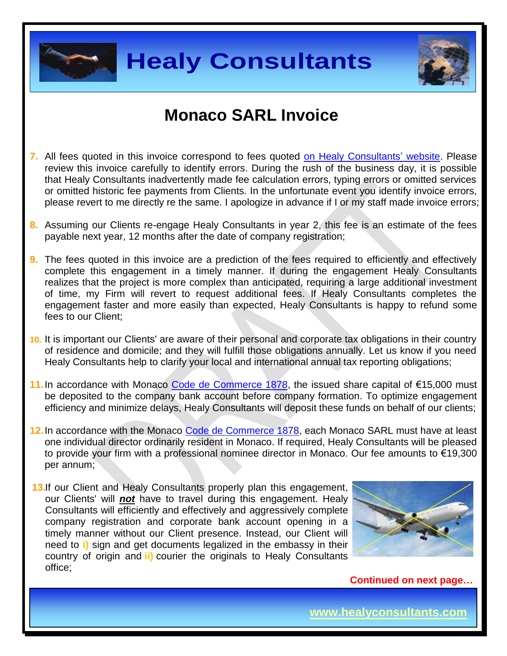



## **Monaco SARL Invoice**

- **7.** All fees quoted in this invoice correspond to fees quoted [on Healy Consultants' website.](http://www.healyconsultants.com/company-registration-fees/) Please review this invoice carefully to identify errors. During the rush of the business day, it is possible that Healy Consultants inadvertently made fee calculation errors, typing errors or omitted services or omitted historic fee payments from Clients. In the unfortunate event you identify invoice errors, please revert to me directly re the same. I apologize in advance if I or my staff made invoice errors;
- **8.** Assuming our Clients re-engage Healy Consultants in year 2, this fee is an estimate of the fees payable next year, 12 months after the date of company registration;
- **9.** The fees quoted in this invoice are a prediction of the fees required to efficiently and effectively complete this engagement in a timely manner. If during the engagement Healy Consultants realizes that the project is more complex than anticipated, requiring a large additional investment of time, my Firm will revert to request additional fees. If Healy Consultants completes the engagement faster and more easily than expected, Healy Consultants is happy to refund some fees to our Client;
- **10.** It is important our Clients' are aware of their personal and corporate tax obligations in their country of residence and domicile; and they will fulfill those obligations annually. Let us know if you need Healy Consultants help to clarify your local and international annual tax reporting obligations;
- 11. In accordance with Monaco [Code de Commerce 1878,](http://www.legimonaco.mc/305/legismc.nsf) the issued share capital of €15,000 must be deposited to the company bank account before company formation. To optimize engagement efficiency and minimize delays, Healy Consultants will deposit these funds on behalf of our clients;
- **12.**In accordance with the Monaco [Code de Commerce 1878,](http://www.legimonaco.mc/305/legismc.nsf) each Monaco SARL must have at least one individual director ordinarily resident in Monaco. If required, Healy Consultants will be pleased to provide your firm with a professional nominee director in Monaco. Our fee amounts to €19,300 per annum;
- 13.If our Client and Healy Consultants properly plan this engagement, our Clients' will *not* have to travel during this engagement. Healy Consultants will efficiently and effectively and aggressively complete company registration and corporate bank account opening in a timely manner without our Client presence. Instead, our Client will need to **i)** sign and get documents legalized in the embassy in their country of origin and **ii)** courier the originals to Healy Consultants office;



 **Continued on next page…**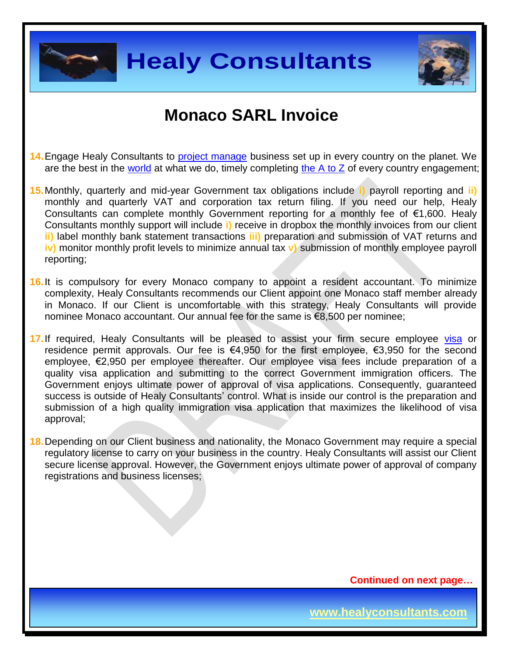



## **Monaco SARL Invoice**

- **14.**Engage Healy Consultants to [project manage](http://www.healyconsultants.com/project-manage-engagements/) business set up in every country on the planet. We are the best in the [world](http://www.healyconsultants.com/best-in-the-world/) at what we do, timely completing the  $A$  to  $Z$  of every country engagement;
- **15.**Monthly, quarterly and mid-year Government tax obligations include **i)** payroll reporting and **ii)** monthly and quarterly VAT and corporation tax return filing. If you need our help, Healy Consultants can complete monthly Government reporting for a monthly fee of  $\epsilon$ 1,600. Healy Consultants monthly support will include **i)** receive in dropbox the monthly invoices from our client **ii)** label monthly bank statement transactions **iii)** preparation and submission of VAT returns and **iv)** monitor monthly profit levels to minimize annual tax **v)** submission of monthly employee payroll reporting;
- **16.**It is compulsory for every Monaco company to appoint a resident accountant. To minimize complexity, Healy Consultants recommends our Client appoint one Monaco staff member already in Monaco. If our Client is uncomfortable with this strategy, Healy Consultants will provide nominee Monaco accountant. Our annual fee for the same is €8,500 per nominee;
- **17.**If required, Healy Consultants will be pleased to assist your firm secure employee [visa](http://www.healyconsultants.com/monaco-company-registration/formation-support-services/) or residence permit approvals. Our fee is  $\epsilon$ 4,950 for the first employee,  $\epsilon$ 3,950 for the second employee, €2,950 per employee thereafter. Our employee visa fees include preparation of a quality visa application and submitting to the correct Government immigration officers. The Government enjoys ultimate power of approval of visa applications. Consequently, guaranteed success is outside of Healy Consultants' control. What is inside our control is the preparation and submission of a high quality immigration visa application that maximizes the likelihood of visa approval;
- **18.**Depending on our Client business and nationality, the Monaco Government may require a special regulatory license to carry on your business in the country. Healy Consultants will assist our Client secure license approval. However, the Government enjoys ultimate power of approval of company registrations and business licenses;

 **Continued on next page…**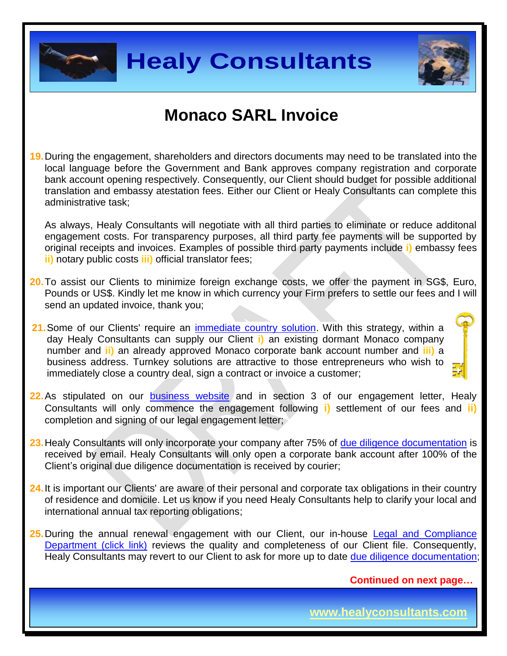



#### **Monaco SARL Invoice**

**19.**During the engagement, shareholders and directors documents may need to be translated into the local language before the Government and Bank approves company registration and corporate bank account opening respectively. Consequently, our Client should budget for possible additional translation and embassy atestation fees. Either our Client or Healy Consultants can complete this administrative task;

As always, Healy Consultants will negotiate with all third parties to eliminate or reduce additonal engagement costs. For transparency purposes, all third party fee payments will be supported by original receipts and invoices. Examples of possible third party payments include **i)** embassy fees **ii)** notary public costs **iii)** official translator fees;

- **20.**To assist our Clients to minimize foreign exchange costs, we offer the payment in SG\$, Euro, Pounds or US\$. Kindly let me know in which currency your Firm prefers to settle our fees and I will send an updated invoice, thank you;
- 21. Some of our Clients' require an *immediate country solution*. With this strategy, within a day Healy Consultants can supply our Client **i)** an existing dormant Monaco company number and **ii)** an already approved Monaco corporate bank account number and **iii)** a business address. Turnkey solutions are attractive to those entrepreneurs who wish to immediately close a country deal, sign a contract or invoice a customer;
- **22.** As stipulated on our [business website](http://www.healyconsultants.com/) and in section 3 of our engagement letter, Healy Consultants will only commence the engagement following **i)** settlement of our fees and **ii)** completion and signing of our legal engagement letter;
- **23.**Healy Consultants will only incorporate your company after 75% of [due diligence documentation](http://www.healyconsultants.com/due-diligence/) is received by email. Healy Consultants will only open a corporate bank account after 100% of the Client's original due diligence documentation is received by courier;
- **24.**It is important our Clients' are aware of their personal and corporate tax obligations in their country of residence and domicile. Let us know if you need Healy Consultants help to clarify your local and international annual tax reporting obligations;
- 25. During the annual renewal engagement with our Client, our in-house Legal and Compliance [Department \(click link\)](http://www.healyconsultants.com/about-us/key-personnel/cai-xin-profile/) reviews the quality and completeness of our Client file. Consequently, Healy Consultants may revert to our Client to ask for more up to date [due diligence documentation;](http://www.healyconsultants.com/due-diligence/)

 **Continued on next page…**